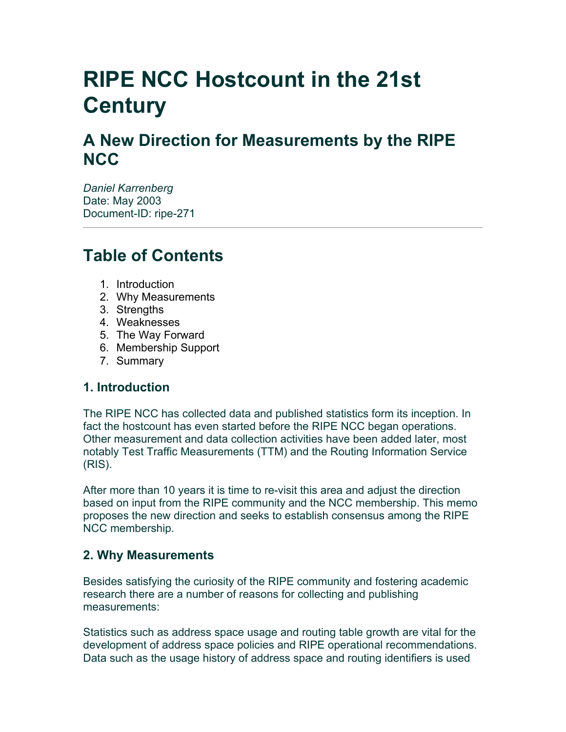# **RIPE NCC Hostcount in the 21st Century**

# **A New Direction for Measurements by the RIPE NCC**

*Daniel Karrenberg* Date: May 2003 Document-ID: ripe-271

# **Table of Contents**

- 1. Introduction
- 2. Why Measurements
- 3. Strengths
- 4. Weaknesses
- 5. The Way Forward
- 6. Membership Support
- 7. Summary

# **1. Introduction**

The RIPE NCC has collected data and published statistics form its inception. In fact the hostcount has even started before the RIPE NCC began operations. Other measurement and data collection activities have been added later, most notably Test Traffic Measurements (TTM) and the Routing Information Service (RIS).

After more than 10 years it is time to re-visit this area and adjust the direction based on input from the RIPE community and the NCC membership. This memo proposes the new direction and seeks to establish consensus among the RIPE NCC membership.

### **2. Why Measurements**

Besides satisfying the curiosity of the RIPE community and fostering academic research there are a number of reasons for collecting and publishing measurements:

Statistics such as address space usage and routing table growth are vital for the development of address space policies and RIPE operational recommendations. Data such as the usage history of address space and routing identifiers is used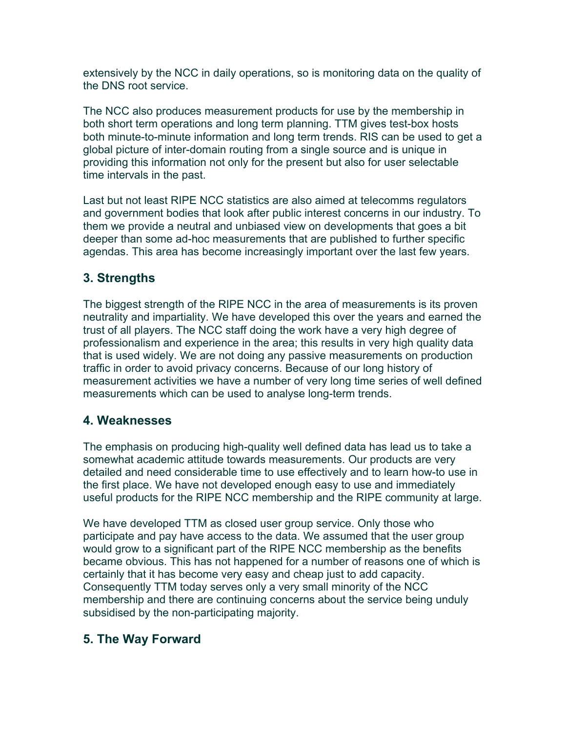extensively by the NCC in daily operations, so is monitoring data on the quality of the DNS root service.

The NCC also produces measurement products for use by the membership in both short term operations and long term planning. TTM gives test-box hosts both minute-to-minute information and long term trends. RIS can be used to get a global picture of inter-domain routing from a single source and is unique in providing this information not only for the present but also for user selectable time intervals in the past.

Last but not least RIPE NCC statistics are also aimed at telecomms regulators and government bodies that look after public interest concerns in our industry. To them we provide a neutral and unbiased view on developments that goes a bit deeper than some ad-hoc measurements that are published to further specific agendas. This area has become increasingly important over the last few years.

## **3. Strengths**

The biggest strength of the RIPE NCC in the area of measurements is its proven neutrality and impartiality. We have developed this over the years and earned the trust of all players. The NCC staff doing the work have a very high degree of professionalism and experience in the area; this results in very high quality data that is used widely. We are not doing any passive measurements on production traffic in order to avoid privacy concerns. Because of our long history of measurement activities we have a number of very long time series of well defined measurements which can be used to analyse long-term trends.

### **4. Weaknesses**

The emphasis on producing high-quality well defined data has lead us to take a somewhat academic attitude towards measurements. Our products are very detailed and need considerable time to use effectively and to learn how-to use in the first place. We have not developed enough easy to use and immediately useful products for the RIPE NCC membership and the RIPE community at large.

We have developed TTM as closed user group service. Only those who participate and pay have access to the data. We assumed that the user group would grow to a significant part of the RIPE NCC membership as the benefits became obvious. This has not happened for a number of reasons one of which is certainly that it has become very easy and cheap just to add capacity. Consequently TTM today serves only a very small minority of the NCC membership and there are continuing concerns about the service being unduly subsidised by the non-participating majority.

### **5. The Way Forward**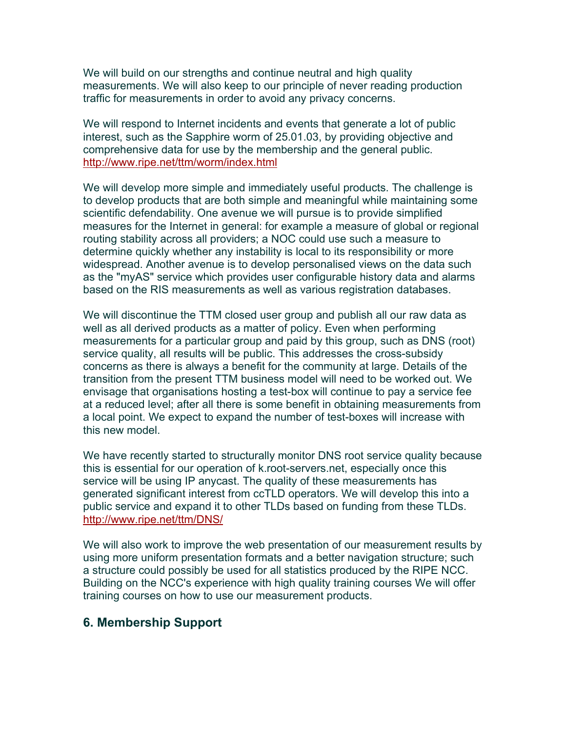We will build on our strengths and continue neutral and high quality measurements. We will also keep to our principle of never reading production traffic for measurements in order to avoid any privacy concerns.

We will respond to Internet incidents and events that generate a lot of public interest, such as the Sapphire worm of 25.01.03, by providing objective and comprehensive data for use by the membership and the general public. [http://www.ripe.net/ttm/worm/index.html](http://www.ripe.net/ttm/worm/)

We will develop more simple and immediately useful products. The challenge is to develop products that are both simple and meaningful while maintaining some scientific defendability. One avenue we will pursue is to provide simplified measures for the Internet in general: for example a measure of global or regional routing stability across all providers; a NOC could use such a measure to determine quickly whether any instability is local to its responsibility or more widespread. Another avenue is to develop personalised views on the data such as the "myAS" service which provides user configurable history data and alarms based on the RIS measurements as well as various registration databases.

We will discontinue the TTM closed user group and publish all our raw data as well as all derived products as a matter of policy. Even when performing measurements for a particular group and paid by this group, such as DNS (root) service quality, all results will be public. This addresses the cross-subsidy concerns as there is always a benefit for the community at large. Details of the transition from the present TTM business model will need to be worked out. We envisage that organisations hosting a test-box will continue to pay a service fee at a reduced level; after all there is some benefit in obtaining measurements from a local point. We expect to expand the number of test-boxes will increase with this new model.

We have recently started to structurally monitor DNS root service quality because this is essential for our operation of k.root-servers.net, especially once this service will be using IP anycast. The quality of these measurements has generated significant interest from ccTLD operators. We will develop this into a public service and expand it to other TLDs based on funding from these TLDs. [http://www.ripe.net/ttm/DNS/](http://www.ripe.net/ttm/DNS)

We will also work to improve the web presentation of our measurement results by using more uniform presentation formats and a better navigation structure; such a structure could possibly be used for all statistics produced by the RIPE NCC. Building on the NCC's experience with high quality training courses We will offer training courses on how to use our measurement products.

### **6. Membership Support**